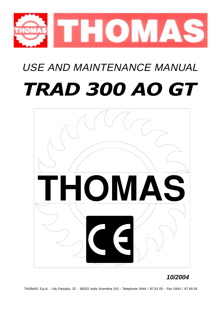

# USE AND MAINTENANCE MANUAL TRAD 300 AO GT



## **10/2004**

THOMAS S.p.A. - Via Pasubio, 32 - 36033 Isola Vicentina (VI) - Telephone 0444 / 97.61.05 - Fax 0444 / 97.69.34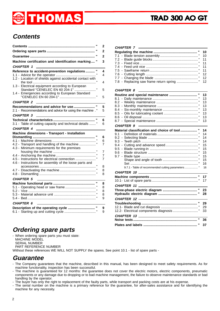# THOMAS

## **Contents**

|                                                                                                              | $\overline{2}$ |
|--------------------------------------------------------------------------------------------------------------|----------------|
|                                                                                                              | $\overline{2}$ |
|                                                                                                              | $\overline{2}$ |
| Machine certification and identification marking"                                                            | 3              |
| <b>CHAPTER 1</b>                                                                                             |                |
| Reference to accident-prevention regulations  "<br>1.2 - Location of shields against accidental contact with | 4<br>4         |
| 1.3 - Electrical equipment according to European                                                             | 4              |
| 1.4 - Emergencies according to European Standard                                                             | 5              |
| <b>CHAPTER 2</b>                                                                                             | 5              |
| Recommendations and advice for use "                                                                         | 5              |
| 2.1 - Recommendations and advice for using the machine."                                                     | 5              |
| <b>CHAPTER 3</b>                                                                                             | 6              |
| 3.1 - Table of cutting capacity and technical details "                                                      | 6              |
| <b>CHAPTER 4</b>                                                                                             |                |
| Machine dimensions - Transport - Installation                                                                | 6              |
|                                                                                                              | 6              |
| 4.2 - Transport and handling of the machine "                                                                | 7              |
| 4.3 - Minimum requirements for the premises                                                                  |                |
|                                                                                                              | 7              |
|                                                                                                              | 7              |
| 4.5 - Instructions for electrical connection                                                                 | 7              |
| 4.6 - Instructions for assembly of the loose parts and                                                       |                |
|                                                                                                              | 8              |
|                                                                                                              | 8              |
|                                                                                                              | 8              |
| <b>CHAPTER 5</b>                                                                                             |                |
|                                                                                                              | 8              |
|                                                                                                              | 8              |
|                                                                                                              | 8              |
|                                                                                                              | 8              |
|                                                                                                              | 9              |
| <b>CHAPTER 6</b>                                                                                             |                |
|                                                                                                              | 9<br>9         |

## **Ordering spare parts**

- When ordering spare parts you must state: MACHINE MODEL SERIAL NUMBER PART REFERENCE NUMBER Without these references WE WILL NOT SUPPLY the spares. See point 10.1 - list of spare parts -

## **Guarantee**

- The Company guarantees that the machine, described in this manual, has been designed to meet safety requirements. As for machine functionality, inspection has been successful.
- The machine is guaranteed for 12 months: the guarantee does not cover the electric motors, electric components, pneumatic components or any damage due to dropping or to bad machine management, the failure to observe maintenance standards or bad handling by the operator.

- The buyer has only the right to replacement of the faulty parts, while transport and packing costs are at his expense.

- The serial number on the machine is a primary reference for the guarantee, for after-sales assistance and for identifying the machine for any necessity.

#### **CHAPTER 7**

|                      | 12   |
|----------------------|------|
|                      |      |
|                      |      |
| CHAPTER 8 __________ |      |
|                      |      |
|                      | 13   |
|                      | - 13 |
|                      | 13   |
|                      |      |

|                                                                         | ີ  |
|-------------------------------------------------------------------------|----|
|                                                                         | 13 |
|                                                                         | 13 |
|                                                                         | 13 |
|                                                                         | 13 |
| <u> 1980 - Andrea Station, amerikansk politik (</u><br><b>CHAPTER 9</b> |    |
|                                                                         |    |
| Material classification and choice of tool "                            | 14 |
|                                                                         | 14 |
|                                                                         | 14 |
|                                                                         | 14 |
|                                                                         | 15 |
|                                                                         | 15 |
|                                                                         | 15 |
|                                                                         | 15 |
|                                                                         | 15 |
|                                                                         | 16 |
| 9.7.1 - Table of recommended cutting parameters  "                      | 16 |
|                                                                         |    |
|                                                                         | 17 |
|                                                                         | 17 |
| CHAPTER 11                                                              |    |
|                                                                         | 23 |
|                                                                         | 28 |
| CHAPTER 12 - 2008                                                       |    |
|                                                                         | 29 |
|                                                                         | 29 |
|                                                                         | 33 |
|                                                                         |    |
| H                                                                       | 36 |
|                                                                         | 37 |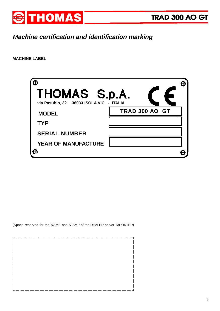![](_page_2_Picture_0.jpeg)

## **Machine certification and identification marking**

**MACHINE LABEL**

| THOMAS S.p.A.<br>via Pasubio, 32 36033 ISOLA VIC. - ITALIA |                       |  |
|------------------------------------------------------------|-----------------------|--|
| <b>MODEL</b><br><b>TYP</b>                                 | <b>TRAD 300 AO GT</b> |  |
| <b>SERIAL NUMBER</b>                                       |                       |  |
| <b>YEAR OF MANUFACTURE</b>                                 |                       |  |

(Space reserved for the NAME and STAMP of the DEALER and/or IMPORTER)

![](_page_2_Picture_6.jpeg)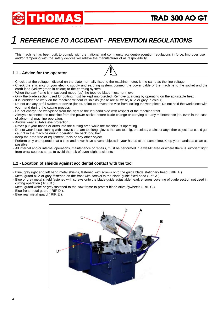![](_page_3_Picture_0.jpeg)

## 1 **REFERENCE TO ACCIDENT - PREVENTION REGULATIONS**

This machine has been built to comply with the national and community accident-prevention regulations in force. Improper use and/or tampering with the safety devices will relieve the manufacturer of all responsibility.

#### **1.1 - Advice for the operator**

![](_page_3_Picture_5.jpeg)

- Check that the voltage indicated on the plate, normally fixed to the machine motor, is the same as the line voltage.
- Check the efficiency of your electric supply and earthing system; connect the power cable of the machine to the socket and the earth lead (yellow-green in colour) to the earthing system.
- When the saw frame is in suspend mode (up) the toothed blade must not move.
- Only the blade section used for cutting must be kept unprotected. Remove guarding by operating on the adjustable head.
- It is forbidden to work on the machine without its shields (these are all white, blue or grey in colour).
- Do not use any artful system or device (for ex. shim) to prevent the vice from locking the workpiece. Do not hold the workpiece with your hand during the cutting process.
- Do not charge the workpiece from the right to the left-hand side with respect of the machine front.
- Always disconnect the machine from the power socket before blade change or carrying out any maintenance job, even in the case of abnormal machine operation.
- Always wear suitable eye protection.
- Never put your hands or arms into the cutting area while the machine is operating.
- Do not wear loose clothing with sleeves that are too long, gloves that are too big, bracelets, chains or any other object that could get caught in the machine during operation; tie back long hair.
- Keep the area free of equipment, tools or any other object.
- Perform only one operation at a time and never have several objects in your hands at the same time. Keep your hands as clean as possible.
- All internal and/or internal operations, maintenance or repairs, must be performed in a well-lit area or where there is sufficient light from extra sources so as to avoid the risk of even slight accidents.

#### **1.2 - Location of shields against accidental contact with the tool**

- Blue, grey right and left hand metal shields, fastened with screws onto the guide blade stationary head ( RIF. A ).
- Metal guard blue or grey fastened on the front with screws to the blade guide fixed head ( Rif. A ).
- Blue or grey metal shield fastened with screws onto the blade guide adjustable head, ensures covering of blade section not used in cutting operation ( RIF. B ).
- Metal guard white or grey fastened to the saw frame to protect blade drive flywheels ( RIF. C ).
- Blue front metal guard ( RIF. D ).
- Blue rear metal guard ( RIF. E ).

![](_page_3_Picture_27.jpeg)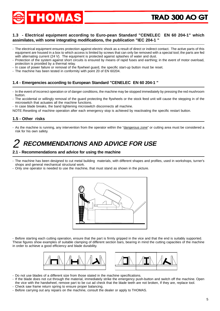![](_page_4_Picture_0.jpeg)

#### **1.3 - Electrical equipment according to Euro-pean Standard "CENELEC EN 60 204-1" which assimilates, with some integrating modifications, the publication "IEC 204-1 "**

- The electrical equipment ensures protection against electric shock as a result of direct or indirect contact. The active parts of this equipment are housed in a box to which access is limited by screws that can only be removed with a special tool; the parts are fed with alternating current (24 V). The equipment is protected against splashes of water and dust.
- Protection of the system against short circuits is ensured by means of rapid fuses and earthing; in the event of motor overload, protection is provided by a thermal relay.
- In case of power failure or removal of the flywheel guard, the specific start-up button must be reset.
- The machine has been tested in conformity with point 20 of EN 60204.

#### **1.4 - Emergencies according to European Standard "CENELEC EN 60 204-1 "**

- In the event of incorrect operation or of danger conditions, the machine may be stopped immediately by pressing the red mushroom button.
- The accidental or willingly removal of the guard protecting the flywheels or the stock feed unit will cause the stepping in of the microswitch that actuates all the machine functions.
- In case blade breaks, the band tightening microswitch disconnects all machine.

NOTE:Resetting of machine operation after each emergency stop is achieved by reactivating the specific restart button.

#### **1.5 - Other risks**

- As the machine is running, any intervention from the operator within the "dangerous zone" or cutting area must be considered a risk for his own safety.

#### **RECOMMENDATIONS AND ADVICE FOR USE** 2

#### **2.1 - Recommendations and advice for using the machine**

- The machine has been designed to cut metal building materials, with different shapes and profiles, used in workshops, turner's shops and general mechanical structural work.
- Only one operator is needed to use the machine, that must stand as shown in the picture.

![](_page_4_Figure_18.jpeg)

- Before starting each cutting operation, ensure that the part is firmly gripped in the vice and that the end is suitably supported. These figures show examples of suitable clamping of different section bars, bearing in mind the cutting capacities of the machine in order to achieve a good efficiency and blade durability.

![](_page_4_Figure_20.jpeg)

- Do not use blades of a different size from those stated in the machine specifications.
- If the blade does not cut through the material, immediately strike the emergency push-button and switch off the machine. Open the vice with the handwheel, remove part to be cut ad check that the blade teeth are not broken, If they are, replace tool.
- Check saw frame return spring to ensure proper balancing.
- Before carrying out any repairs on the machine, consult the dealer or apply to THOMAS.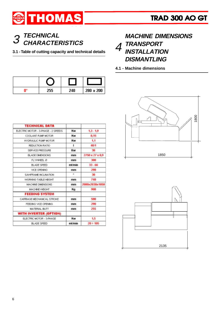![](_page_5_Picture_0.jpeg)

# **TECHNICAL**

**3.1 - Table of cutting capacity and technical details**

| no | 255 | 24A | 280 x 200 |
|----|-----|-----|-----------|

| <b>TECHNICAL DATA</b>               |        |                 |
|-------------------------------------|--------|-----------------|
| ELECTRIC MOTOR - 3-PHASE - 2 SPEEDS | Kw     | $1.3 - 1.9$     |
| COOLANT PUMP MOTOR.                 | Kw     | 0,15            |
| HYDRAULIC PLMP MOTOR                | Kw     | 1.1             |
| REDUCTION RATIO                     | 1      | 40/1            |
| SERVICE PRESSURE                    | Bar    | 30              |
| <b>BLADE DIMENSIONS</b>             | mm     | 2750 x 27 x 0.9 |
| FLYWHEEL Ø                          | mm     | 300             |
| <b>BLADE SPEED</b>                  | mthmin | $33 - 66$       |
| VICE OPENING                        | mm     | 290             |
| SAWFRAME INCLINATION                | $\sim$ | 30              |
| WORKING TABLE HEIGHT                | mm     | 740             |
| MACHINE DIMENSIONS                  | mm     | 2000x2030x1850  |
| MACHINE WEIGHT.                     | Кg     | 900             |
| <b>FEEDING SYSTEM</b>               |        |                 |
| CARRIAGE MECHANICAL STROKE          | mm     | 500             |
| FEEDING VICE OPENING.               | mm     | 290             |
| MATERIAL BUTT                       | mm     | 255             |
| WITH INVERTER (OPTION)              |        |                 |
| ELECTRIC MOTOR - 3-PHASE            | Kw     | 1.5             |
| <b>BLADE SPEED</b>                  | mt/min | $20 + 105$      |

### **CHARACTERISTICS** 3 **MACHINE DIMENSIONS TRANSPORT INSTALLATION DISMANTLING** 4

**4.1 - Machine dimensions**

![](_page_5_Figure_8.jpeg)

![](_page_5_Figure_9.jpeg)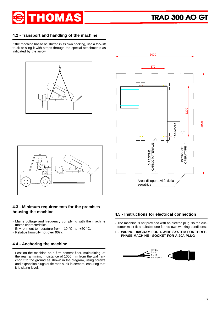![](_page_6_Picture_0.jpeg)

#### **4.2 - Transport and handling of the machine**

If the machine has to be shifted in its own packing, use a fork-lift truck or sling it with straps through the special attachments as indicated by the arrow.

![](_page_6_Figure_4.jpeg)

![](_page_6_Figure_5.jpeg)

![](_page_6_Picture_6.jpeg)

#### **4.3 - Minimum requirements for the premises housing the machine**

- Mains voltage and frequency complying with the machine motor characteristics.
- Environment temperature from -10 °C to +50 °C.
- Relative humidity not over 90%.

#### **4.4 - Anchoring the machine**

- Position the machine on a firm cement floor, maintaining, at the rear, a minimum distance of 1000 mm from the wall; anchor it to the ground as shown in the diagram, using screws and expansion plugs or tie rods sunk in cement, ensuring that it is sitting level.

#### **4.5 - Instructions for electrical connection**

- The machine is not provided with an electric plug, so the customer must fit a suitable one for his own working conditions:
- **1 WIRING DIAGRAM FOR 4-WIRE SYSTEM FOR THREE-PHASE MACHINE - SOCKET FOR A 20A PLUG**

![](_page_6_Picture_16.jpeg)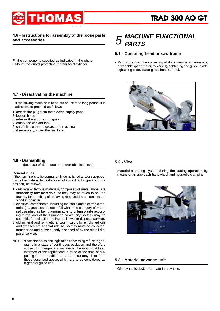![](_page_7_Picture_0.jpeg)

#### **4.6 - Instructions for assembly of the loose parts and accessories**

Fit the components supplied as indicated in the photo: - Mount the guard protecting the bar feed cylinder.

#### **4.7 - Disactivating the machine**

- If the sawing machine is to be out of use for a long period, it is advisable to proceed as follows:
- 1) detach the plug from the electric supply panel
- 2) loosen blade
- 3) release the arch return spring
- 4) empty the coolant tank
- 5) carefully clean and grease the machine
- 6) if necessary, cover the machine.

#### **4.8 - Dismantling**

(because of deterioration and/or obsolescence)

#### **General rules**

If the machine is to be permanently demolished and/or scrapped, divide the material to be disposed of according to type and composition, as follows:

- 1) cast iron or ferrous materials, composed of metal alone, are **secondary raw materials**, so they may be taken to an iron foundry for remelting after having removed the contents (classified in point 3);
- 2) electrical components, including the cable and electronic material (magnetic cards, etc.), fall within the category of material classified as being **assimilable to urban waste** according to the laws of the European community, so they may be set aside for collection by the public waste disposal service;
- 3) old mineral and synthetic and/or mixed oils, emulsified oils and greases are **special refuse**, so they must be collected, transported and subsequently disposed of by the old oil disposal service.
- NOTE: since standards and legislation concerning refuse in general is in a state of continuous evolution and therefore subject to changes and variations, the user must keep informed of the regulations in force at the time of disposing of the machine tool, as these may differ from those described above, which are to be considered as a general guide line.

#### **MACHINE FUNCTIONAL PARTS** 5

#### **5.1 - Operating head or saw frame**

- Part of the machine consisting of drive members (gearmotor or variable speed motor, flywheels), tightening and guide (blade tightening slide, blade guide head) of tool.

![](_page_7_Picture_23.jpeg)

#### **5.2 - Vice**

- Material clamping system during the cutting operation by means of an approach handwheel and hydraulic clamping.

![](_page_7_Picture_26.jpeg)

#### **5.3 - Material advance unit**

- Oleodynamic device for material advance.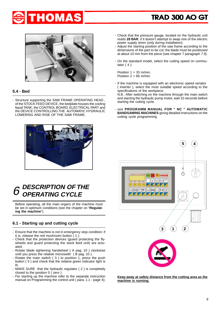![](_page_8_Picture_0.jpeg)

![](_page_8_Picture_2.jpeg)

#### **5.4 - Bed**

- Structure supporting the SAW FRAME OPERATING HEAD , of the STOCK FEED DEVICE, the bedplate houses the cooling liquid TANK, the CONTROL BOARD, ELECTRICAL PART and the DEVICE CONTROLLING THE AUTOMATIC HYDRAULIC LOWERING AND RISE OF THE SAW FRAME.

![](_page_8_Picture_5.jpeg)

#### **DESCRIPTION OF THE OPERATING CYCLE** 6

Before operating, all the main organs of the machine must be set in optimum conditions (see the chapter on "**Regulating the machine**").

### **6.1 - Starting up and cutting cycle**

- Ensure that the machine is not in emergency stop condition; if it is, release the red mushroom button  $(1)$ .
- Check that the protection devices (guard protecting the flywheels and guard protecting the stock feed unit) are actuated.
- Rotate blade tightening handwheel ( A pag. 10 ) clockwise until you press the relative microswith ( B pag. 10 ).
- Rotate the main switch (3) to position 1, press the push button ( 5 ) and check that the relative green indicator light is lit.
- MAKE SURE that the hydraulic regulator ( 2 ) is completely closed to the position 0 ( zero ).
- For starting up the machine refer to the separate instruction manual on Programming the control unit ( para. 1.1 - page 4);
- Check that the pressure gauge, located on the hydraulic unit reads **28 BAR**, if it doesn't attempt to swap one of the electric power supply wires (only during installation).
- Adjust the starting position of the saw frame according to the dimensions of the part to be cut: the blade must be positioned at about 10 mm from the piece (see chapter 7 paragraph 7.5).
- On the standard model, select the cutting speed on commutator  $(4)$ :

Position  $1 = 33$  m/min. Position  $2 = 66$  m/min.

- If the machine is equipped with an electronic speed variator ( inverter ), select the most suitable speed according to the specifications of the workpiece.

N.B.: After switching on the machine through the main switch and starting the hydraulic pump motor, wait 10 seconds before starting the cutting cycle.

- see **PROGRAMM MANUAL FOR " NC " AUTOMATIC BANDSAWING MACHINES** giving detailed instructions on the cutting cycle programming.

![](_page_8_Picture_22.jpeg)

**Keep away at safety distance from the cutting area as the machine is running.**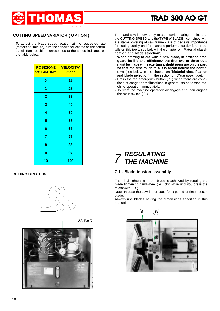![](_page_9_Picture_0.jpeg)

#### **CUTTING SPEED VARIATOR ( OPTION )**

- To adjust the blade speed rotation at the requested rate (meters per minute), turn the handwheel located on the control panel. Each position corresponds to the speed indicated on the table below:

| <b>POSIZIONE</b><br><b>VOLANTINO</b> | <b>VELOCITA'</b><br>m/ 1' |
|--------------------------------------|---------------------------|
| 0                                    | 18                        |
| 1                                    | 23                        |
| $\overline{2}$                       | 32                        |
| 3                                    | 40                        |
| 4                                    | 50                        |
| 5                                    | 58                        |
| 6                                    | 67                        |
| 7                                    | 77                        |
| 8                                    | 86                        |
| 9                                    | 97                        |
| 10                                   | 100                       |

#### **CUTTING DIRECTION**

![](_page_9_Picture_6.jpeg)

![](_page_9_Picture_7.jpeg)

![](_page_9_Picture_8.jpeg)

The band saw is now ready to start work, bearing in mind that the CUTTING SPEED and the TYPE of BLADE - combined with a suitable lowering of saw frame - are of decisive importance for cutting quality and for machine performance (for further details on this topic, see below in the chapter on "**Material classification and blade selection**").

- **When starting to cut with a new blade, in order to safeguard its life and efficiency, the first two or three cuts must be made while exerting a slight pressure on the part, so that the time taken to cut is about double the normal time** (see below in the chapter on "**Material classification** and blade selection" in the section on *Blade running-in*).
- Press the red emergency button ( 1 ) when there are conditions of danger or malfunctions in general, so as to stop machine operation immediately.
- To reset the machine operation disengage and then engage the main switch ( 3 ).

#### **REGULATING THE MACHINE** 7

#### **7.1 - Blade tension assembly**

The ideal tightening of the blade is achieved by rotating the blade tightening handwheel ( A ) clockwise until you press the microswith ( B ).

Note: In case the saw is not used for a period of time, loosen blade.

Always use blades having the dimensions specified in this manual.

![](_page_9_Picture_18.jpeg)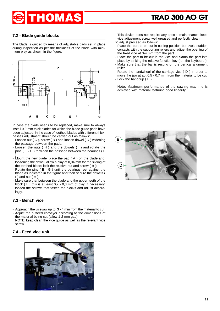# **HOMAS**

#### **7.2 - Blade guide blocks**

The blade is guided by means of adjustable pads set in place during inspection as per the thickness of the blade with minimum play as shown in the figure.

![](_page_10_Figure_4.jpeg)

In case the blade needs to be replaced, make sure to always install 0,9 mm thick blades for which the blade guide pads have been adjusted. In the case of toothed blades with different thicknesses adjustment should be carried out as follows:

- Loosen nut ( C ), screw ( B ) and loosen dowel ( D ) widening the passage between the pads.
- Loosen the nuts ( H ) and the dowels ( I ) and rotate the pins ( E - G ) to widen the passage between the bearings ( F ).
- Mount the new blade, place the pad ( A ) on the blade and, loosening the dowel, allow a play of 0,04 mm for the sliding of the toothed blade; lock the relative nut and screw ( B ):
- Rotate the pins ( E G ) until the bearings rest against the blade as indicated in the figure and then secure the dowels (  $I$ ) and nut  $(H)$ .
- Make sure that between the blade and the upper teeth of the block ( L ) this is at least 0,2 - 0,3 mm of play; if necessary, loosen the screws that fasten the blocks and adjust accordingly.

#### **7.3 - Bench vice**

- Approach the vice jaw up to 3 4 mm from the material to cut.
- Adjust the outfeed conveyor according to the dimensions of the material being cut (allow 1-2 mm gap).
- NOTE: keep clean the vice guide as well as the relevant vice screw.

#### **7.4 - Feed vice unit**

![](_page_10_Picture_16.jpeg)

- This device does not require any special maintenance; keep vice adjustment screw well greased and perfectly clean.

To adjust proceed as follows:

- Place the part to be cut in cutting position but avoid sudden contacts with the supporting rollers and adjust the opening of the fixed vice at 3-4 mm from the part.
- Place the part to be cut in the vice and clamp the part into place by striking the relative function key ( on the keyboard ).
- Make sure that the bar is resting on the vertical alignment roller.
- Rotate the handwheel of the carriage vice ( D ) in order to move the jaw at abt 0.5 - 0.7 mm from the material to be cut.
- Lock the handgrip ( E ).

Note: Maximum performance of the sawing machine is achieved with material featuring good linearity.

![](_page_10_Picture_25.jpeg)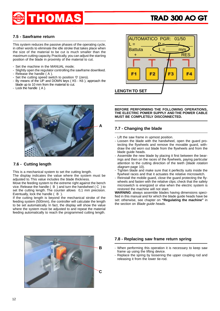![](_page_11_Picture_0.jpeg)

#### **7.5 - Sawframe return**

This system reduces the passive phases of the operating cycle, in other words to eliminate the idle stroke that takes place when the size of the material to be cut is much smaller than the maximum cutting capacity. Practically, you can adjust the starting position of the blade in proximity of the material to cut.

- Set the machine in the MANUAL mode;
- Slightly open the regulator controlling the sawframe downfeed.
- Release the handle ( A ).
- Set the cutting speed switch to position '0' (zero).
- By means of the UP and DOWN keys ( K5 K6 ), approach the blade up to 10 mm from the material to cut.
- Lock the handle (A).

![](_page_11_Picture_10.jpeg)

#### **7.6 - Cutting length**

This is a mechanical system to set the cutting length.

The display indicates the value where the system must be adjusted to. This value includes the blade thickness.

Move the feeding system to the extreme right against the bench vice. Release the handle ( B ) and turn the handwheel ( C ) to set the cutting length. The counter allows 0,1 mm precision. Eventually, lock the handle ( B ).

If the cutting length is beyond the mechanical stroke of the feeding system (500mm), the controller will calculate the length to be set automatically. In fact, the display will show the value where the system must be adjusted to and repeat the material feeding automatically to reach the programmed cutting length.

![](_page_11_Figure_16.jpeg)

**BEFORE PERFORMING THE FOLLOWING OPERATIONS, THE ELECTRIC POWER SUPPLY AND THE POWER CABLE MUST BE COMPLETELY DISCONNECTED.**

#### **7.7 - Changing the blade**

- Lift the saw frame in upmost position.
- Loosen the blade with the handwheel, open the guard protecting the flywheels and remove the movable guard, withdraw the old worn out blade from the flywheels and from the blade quide heads.
- Assemble the new blade by placing it first between the bearings and then on the races of the flywheels, paying particular attention to the cutting direction of the teeth (blade rotation diagram page 10).
- Tighten blade and make sure that it perfectly suits inside the flywheel races and that it actuates the relative microswitch.
- Reinstall the mobile guard, close the guard protecting the flywheels and fasten with the relative clips; check that the safety microswitch is energized or else when the electric system is restored the machine will not start.

**WARNING**: always assemble blades having dimensions specified in this manual and for which the blade guide heads have be set: otherwise, see chapter on **"Regulating the machine"** in the section on Blade guide heads.

![](_page_11_Picture_25.jpeg)

#### **7.8 - Replacing saw frame return spring**

- When performing this operation it is necessary to keep saw frame up using the lifting device.
- Replace the spring by loosening the upper coupling rod and releasing it from the lower tie-rod.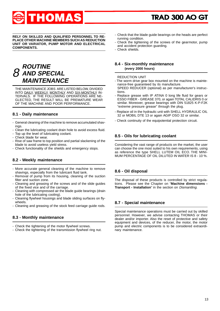![](_page_12_Picture_0.jpeg)

**RELY ON SKILLED AND QUALIFIED PERSONNEL TO RE-PLACE OTHER MACHINE MEMBERS SUCH AS REDUCTION UNIT OR VARIATOR, PUMP MOTOR AND ELECTRICAL COMPONENTS.**

#### **ROUTINE AND SPECIAL MAINTENANCE** 8

THE MAINTENANCE JOBS ARE LISTED BELOW, DIVIDED INTO DAILY, WEEKLY, MONTHLY AND SIX-MONTHLY IN-TERVALS. IF THE FOLLOWING OPERATIONS ARE NE-GLECTED, THE RESULT WILL BE PREMATURE WEAR OF THE MACHINE AND POOR PERFORMANCE.

#### **8.1 - Daily maintenance**

- General cleaning of the machine to remove accumulated shavings.
- Clean the lubricating coolant drain hole to avoid excess fluid.
- Top up the level of lubricating coolant.
- Check blade for wear.
- Rise of saw frame to top position and partial slackening of the blade to avoid useless yield stress.
- Check functionality of the shields and emergency stops.

#### **8.2 - Weekly maintenance**

- More accurate general cleaning of the machine to remove shavings, especially from the lubricant fluid tank.
- Removal of pump from its housing, cleaning of the suction filter and suction zone.
- Cleaning and greasing of the screws and of the slide guides of the fixed vice and of the carriage.
- Cleaning with compressed air the blade guide bearings (drain hole of the lubricating cooling).
- Cleaning flywheel housings and blade sliding surfaces on flywheels.
- Cleaning and greasing of the stock feed carriage guide rods.

#### **8.3 - Monthly maintenance**

- Check the tightening of the motor flywheel screws.
- Check the tightening of the transmission flywheel ring nut.
- Check that the blade guide bearings on the heads are perfect running condition.
- Check the tightening of the screws of the gearmotor, pump and accident protection guarding.
- Check shields.

#### **8.4 - Six-monthly maintenance (every 2000 hours)**

REDUCTION UNIT

- The worm drive gear box mounted on the machine is maintenance-free guaranteed by its manufacture. SPEED REDUCER (optional) as per manufacturer's instruc-
- tions.
- Replace grease with IP ATINA 0 long life fluid for gears or ESSO FIBER - GREASE 370, or again TOTAL CALIDRIS 0 or similar. Moreover, grease bearings with DIN 51825 K-P-F2K "extreme pressure grease" through the plug.
- Replace oil in the hydraulic unit with SHELL HYDRAULIC OIL 32 or MOBIL DTE 13 or again AGIP OSO 32 or similar.
- Check continuity of the equipotential protection circuit.

#### **8.5 - Oils for lubricating coolant**

Considering the vast range of products on the market, the user can choose the one most suited to his own requirements, using as reference the type SHELL LUTEM OIL ECO. THE MINI-MUM PERCENTAGE OF OIL DILUTED IN WATER IS 8 - 10 %.

#### **8.6 - Oil disposal**

The disposal of these products is controlled by strict regulations. Please see the Chapter on "**Machine dimensions - Transport - Installation**" in the section on Dismantling.

#### **8.7 - Special maintenance**

Special maintenance operations must be carried out by skilled personnel. However, we advise contacting THOMAS or their dealer and/or importer. Also the reset of protective and safety equipment and devices, of the reducer, the motor, the motor pump and electric components is to be considered extraordinary maintenance.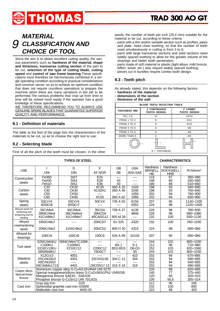# **HOMAS**

### **MATERIAL CLASSIFICATION AND CHOICE OF TOOL** 9

Since the aim is to obtain excellent cutting quality, the various parameters such as **hardness of the material, shape and thickness, transverse cutting section** of the part to be cut, **selection of the type of cutting blade, cutting speed** and **control of saw frame lowering**.These specifications must therefore be harmoniously combined in a single operating condition according to practical considerations and common sense, so as to achieve an optimum condition that does not require countless operations to prepare the machine when there are many variations in the job to be performed.The various problems that crop up from time to time will be solved more easily if the operator has a good knoledge of these specifications.

WE THEREFORE RECOMMEND YOU TO ALWAYS USE GENUINE SPARE BLADES THAT GUARANTEE SUPERIOR QUALITY AND PERFORMANCE.

#### **9.1 - Definition of materials**

The table at the foot of the page lists the characteristics of the materials to be cut, so as to choose the right tool to use.

#### **9.2 - Selecting blade**

First of all the pitch of the teeth must be chosen, in the other

words, the number of teeth per inch (25,4 mm) suitable for the material to be cut, according to these criteria:

- parts with a thin and/or variable section such as profiles, pipes and plate, need close toothing, so that the number of teeth used simultaneously in cutting is from 3 to 6;
- parts with large transverse sections and solid sections need widely spaced toothing to allow for the greater volume of the shavings and better tooth penetration;
- parts made of soft material or plastic (light alloys, mild bronze, teflon, wood, etc.) also require widely spaced toothing;
- pieces cut in bundles require combo tooth design.

#### **9.3 - Teeth pitch**

As already stated, this depends on the following factors:

- **hardness of the material**
- **dimensions of the section**
- **thickness of the wall**

| <b>BLADE TEETH SELECTION TABLE</b> |                                            |                                |  |  |
|------------------------------------|--------------------------------------------|--------------------------------|--|--|
| THICKNESS MM                       | <b>Z CONTINUOUS</b><br><b>TOOTH DESIGN</b> | Z COMBO<br><b>TOOTH DESIGN</b> |  |  |
| <b>TILL 1.5</b>                    | 14                                         | 10/14                          |  |  |
| FROM 1 TO 2                        | 8                                          | 8/12                           |  |  |
| FROM 2 TO 3                        | 6                                          | 6/10                           |  |  |
| FROM 3 TO 5                        | 6                                          | 5/8                            |  |  |
| FROM 4 TO 6                        | 6                                          | 4/6                            |  |  |
| MORE THAN 6                        |                                            | 4/6                            |  |  |
| - 5<br>s<br>$S = THICKNESS$        |                                            |                                |  |  |

| <b>TYPES OF STEEL</b>                                                                                                                                                                                                                  |                                                  |                                                   |                                          | <b>CHARACTERISTICS</b>                     |                                                        |                                  |                                           |                                                    |
|----------------------------------------------------------------------------------------------------------------------------------------------------------------------------------------------------------------------------------------|--------------------------------------------------|---------------------------------------------------|------------------------------------------|--------------------------------------------|--------------------------------------------------------|----------------------------------|-------------------------------------------|----------------------------------------------------|
| <b>USE</b>                                                                                                                                                                                                                             | <b>UNI</b>                                       | D<br><b>DIN</b>                                   | E<br>AF NOR                              | <b>GB</b><br><b>SB</b>                     | <b>USA</b><br>AISI-SAE                                 | Hardness<br><b>BRINELL</b><br>ΗB | Hardness<br><b>ROCKWELL</b><br><b>HRB</b> | $R=N/mm2$                                          |
| Construction<br>steels                                                                                                                                                                                                                 | Fe360<br>Fe430<br>Fe510                          | <b>St37</b><br><b>St44</b><br><b>St52</b>         | E24<br>E28<br>E36                        | ----<br>43<br>50                           | ----<br>----<br>----                                   | 116<br>148<br>180                | 67<br>80<br>88                            | $360 \div 480$<br>$430 \div 560$<br>$510 \div 660$ |
| Carbon<br>steels                                                                                                                                                                                                                       | C <sub>20</sub><br>C40<br>C <sub>50</sub><br>C60 | CK20<br><b>CK40</b><br><b>CK50</b><br><b>CK60</b> | <b>XC20</b><br>XC42H1<br><b>XC55</b>     | 060 A 20<br>060 A 40<br>----<br>060 A 62   | 1020<br>1040<br>1050<br>1060                           | 198<br>198<br>202<br>202         | 93<br>93<br>94<br>94                      | 540÷690<br>700÷840<br>760÷900<br>830÷980           |
| Spring<br>steels                                                                                                                                                                                                                       | 50CrV4<br>60SiCr8                                | 50CrV4<br>60SiCr7                                 | 50CV4<br>----                            | 735 A 50<br>----                           | 6150<br>9262                                           | 207<br>224                       | 95<br>98                                  | 1140÷1330<br>1220÷1400                             |
| Alloyed steels for<br>hardening and<br>tempering and for<br>nitriding                                                                                                                                                                  | 35CrMo4<br>39NiCrMo4<br>41CrAIMo7                | 34CrMo4<br>36CrNiMo4<br>41CrAIMo7                 | 35CD4<br>39NCD4<br>40CADG12              | 708 A 37<br>----<br>905 M 39               | 4135<br>9840<br>$---$                                  | 220<br>228<br>232                | 98<br>99<br>100                           | 780÷930<br>880÷1080<br>$930 \div 1130$             |
| Alloyed<br>casehardening<br>steels                                                                                                                                                                                                     | 18NiCrMo7<br>20NiCrMo2                           | ----<br>21NiCrMo2                                 | 20NCD7<br>20NCD <sub>2</sub>             | En 325<br>805 H 20                         | 4320<br>4315                                           | 232<br>224                       | 100<br>98                                 | 760÷1030<br>690÷980                                |
| Alloyed for<br>bearings                                                                                                                                                                                                                | 100Cr6                                           | 100Cr6                                            | 100C6                                    | 534 A 99                                   | 52100                                                  | 207                              | 95                                        | 690÷980                                            |
| <b>Tool</b> steel                                                                                                                                                                                                                      | 52NiCrMoKU<br>C100KU<br>X210Cr13KU<br>58SiMo8KU  | 56NiCrMoV7C100K<br>C100W1<br>X210Cr12<br>----     | ----<br>----<br>Z200C12<br><b>Y60SC7</b> | ----<br>BS <sub>1</sub><br>BD2-BD3<br>---- | $S-1$<br>$D6-D3$<br>S <sub>5</sub>                     | 244<br>212<br>252<br>244         | 102<br>96<br>103<br>102                   | $800 \div 1030$<br>710÷980<br>820÷1060<br>800÷1030 |
| X12Cr13<br>4001<br>410<br><b>Stainless</b><br>304 C 12<br>4301<br>Z5CN18.09<br>304<br><b>X5CrNi1810</b><br>X8CrNi1910<br>steels<br>----<br>----<br>----<br>4401<br>316 S 16<br>316<br>X8CrNiMo1713<br>Z6CDN17.12                       |                                                  |                                                   | 202<br>202<br>202<br>202                 | 94<br>94<br>94<br>94                       | 670÷885<br>$590 \div 685$<br>$540 \div 685$<br>490÷685 |                                  |                                           |                                                    |
| Aluminium copper alloy G-CuAl11Fe4Ni4 UNI 5275<br>Copper alloys<br>Special manganese/silicon brass G-CuZn36Si1Pb1 UNI5038<br>Special brass<br>Manganese bronze SAE43 - SAE430<br><b>Bronze</b><br>Phosphor bronze G-CuSn12 UNI 7013/2a |                                                  |                                                   | 220<br>140<br>120<br>100                 | 98<br>77<br>69<br>56,5                     | 620÷685<br>$375 \div 440$<br>$320 \div 410$<br>265÷314 |                                  |                                           |                                                    |
| G25<br>Gray pig iron<br>Spheroidal graphite cast iron GS600<br>Cast iron<br>Malleable cast iron<br>W40-05                                                                                                                              |                                                  |                                                   | 212<br>232<br>222                        | 96<br>100<br>98                            | 245<br>600<br>420                                      |                                  |                                           |                                                    |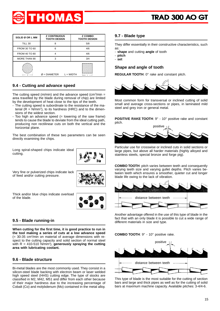![](_page_14_Picture_0.jpeg)

| SOLID Ø OR L MM | <b>Z CONTINUOUS</b><br><b>TOOTH DESIGN</b> | <b>Z COMBO</b><br><b>TOOTH DESIGN</b> |
|-----------------|--------------------------------------------|---------------------------------------|
| <b>TILL 30</b>  | 8                                          | 5/8                                   |
| FROM 30 TO 60   | 6                                          | 4/6                                   |
| FROM 40 TO 80   |                                            | 4/6                                   |
| MORE THAN 90    | 3                                          | 3/4                                   |
|                 | $\varnothing$ = DIAMETER<br>$L = WIDTH$    |                                       |

#### **9.4 - Cutting and advance speed**

The cutting speed (m/min) and the advance speed (cm<sup>2</sup>/min = area travelled by the blade during removal of chip) are limited by the development of heat close to the tips of the teeth.

- The cutting speed is subordinate to the resistance of the material  $(R = N/mm<sup>2</sup>)$ , to its hardness (HRC) and to the dimensions of the widest section.
- Too high an advance speed (= lowering of the saw frame) tends to cause the blade to deviate from the ideal cutting path, producing non rectilinear cuts on both the vertical and the horizontal plane.

The best combination of these two parameters can be seen directly examining the chips.

Long spiral-shaped chips indicate ideal cutting.

![](_page_14_Picture_9.jpeg)

Very fine or pulverized chips indicate lack of feed and/or cutting pressure.

![](_page_14_Picture_11.jpeg)

Thick and/or blue chips indicate overload of the blade.

#### **9.5 - Blade running-in**

**When cutting for the first time, it is good practice to run in the tool making a series of cuts at a low advance speed** (= 30-35 cm2 /min on material of average dimensions with respect to the cutting capacity and solid section of normal steel with R = 410-510 N/mm<sup>2</sup>), **generously spraying the cutting area with lubricating coolant.**

#### **9.6 - Blade structure**

Bi-metal blades are the most commonly used. They consist in a silicon-steel blade backing with electron beam or laser welded high speed steel (HHS) cutting edge. The type of stocks are classified in M2, M42, M51 and differ from each other because of their major hardness due to the increasing percentage of Cobalt (Co) and molybdenum (Mo) contained in the metal alloy.

#### **9.7 - Blade type**

They differ essentially in their constructive characteristics, such as:

- **shape** and cutting **angle** of tooth
- **pitch** - **set**

### **Shape and angle of tooth**

**REGULAR TOOTH**: 0° rake and constant pitch.

![](_page_14_Picture_24.jpeg)

Most common form for transversal or inclined cutting of solid small and average cross-sections or pipes, in laminated mild steel and grey iron or general metal.

**POSITIVE RAKE TOOTH**: 9° - 10° positive rake and constant pitch.

![](_page_14_Picture_27.jpeg)

Particular use for crosswise or inclined cuts in solid sections or large pipes, but above all harder materials (highly alloyed and stainless steels, special bronze and forge pig).

**COMBO TOOTH**: pitch varies between teeth and consequently varying teeth size and varying gullet depths. Pitch varies between teeth which ensures a smoother, quieter cut and longer blade life owing to the lack of vibration.

![](_page_14_Figure_30.jpeg)

Another advantage offered in the use of this type of blade in the fact that with an only blade it is possible to cut a wide range of different materials in size and type.

**COMBO TOOTH**: 9° - 10° positive rake.

![](_page_14_Figure_33.jpeg)

This type of blade is the most suitable for the cutting of section bars and large and thick pipes as well as for the cutting of solid bars at maximum machine capacity. Available pitches: 3-4/4-6.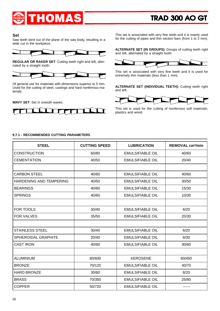![](_page_15_Picture_0.jpeg)

#### **Set**

Saw teeth bent out of the plane of the saw body, resulting in a wide cut in the workpiece.

![](_page_15_Figure_4.jpeg)

**REGULAR OR RAKER SET**: Cutting teeth right and left, alternated by a straight tooth.

![](_page_15_Figure_6.jpeg)

Of general use for materials with dimensions superior to 5 mm. Used for the cutting of steel, castings and hard nonferrous materials.

**WAVY SET**: Set in smooth waves.

![](_page_15_Figure_9.jpeg)

This set is associated with very fine teeth and it is mainly used for the cutting of pipes and thin section bars (from 1 to 3 mm).

**ALTERNATE SET (IN GROUPS)**: Groups of cutting teeth right and left, alternated by a straight tooth.

![](_page_15_Figure_12.jpeg)

This set is associated with very fine teeth and it is used for extremely thin materials (less than 1 mm).

**ALTERNATE SET (INDIVIDUAL TEETH):** Cutting teeth right and left.

![](_page_15_Picture_15.jpeg)

This set is used for the cutting of nonferrous soft materials, plastics and wood.

#### **9.7.1 - RECOMMENDED CUTTING PARAMETERS**

| <b>STEEL</b>                   | <b>CUTTING SPEED</b> | <b>LUBRICATION</b>      | <b>REMOVAL cm<sup>2</sup>/min</b> |
|--------------------------------|----------------------|-------------------------|-----------------------------------|
| <b>CONSTRUCTION</b>            | 60/80                | <b>EMULSIFIABLE OIL</b> | 40/60                             |
| <b>CEMENTATION</b>             | 40/50                | <b>EMULSIFIABLE OIL</b> | 20/40                             |
|                                |                      |                         |                                   |
| <b>CARBON STEEL</b>            | 40/60                | <b>EMULSIFIABLE OIL</b> | 40/60                             |
| <b>HARDENING AND TEMPERING</b> | 40/50                | <b>EMULSIFIABLE OIL</b> | 30/50                             |
| <b>BEARINGS</b>                | 40/60                | <b>EMULSIFIABLE OIL</b> | 15/30                             |
| <b>SPRINGS</b>                 | 40/60                | <b>EMULSIFIABLE OIL</b> | 10/30                             |
|                                |                      |                         |                                   |
| <b>FOR TOOLS</b>               | 30/40                | <b>EMULSIFIABLE OIL</b> | 6/20                              |
| <b>FOR VALVES</b>              | 35/50                | <b>EMULSIFIABLE OIL</b> | 20/30                             |
|                                |                      |                         |                                   |
| <b>STAINLESS STEEL</b>         | 30/40                | <b>EMULSIFIABLE OIL</b> | 6/20                              |
| SPHEROIDAL GRAPHITE            | 20/40                | <b>EMULSIFIABLE OIL</b> | 6/30                              |
| <b>CAST IRON</b>               | 40/60                | <b>EMULSIFIABLE OIL</b> | 30/60                             |
|                                |                      |                         |                                   |
| <b>ALUMINIUM</b>               | 80/600               | <b>KEROSENE</b>         | 60/450                            |
| <b>BRONZE</b>                  | 70/120               | <b>EMULSIFIABLE OIL</b> | 40/70                             |
| <b>HARD BRONZE</b>             | 30/60                | <b>EMULSIFIABLE OIL</b> | 6/20                              |
| <b>BRASS</b>                   | 70/350               | <b>EMULSIFIABLE OIL</b> | 25/80                             |
| <b>COPPER</b>                  | 50/720               | <b>EMULSIFIABLE OIL</b> |                                   |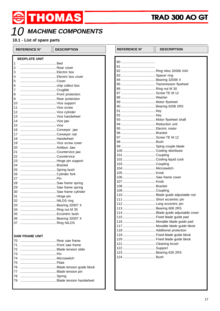# 10 MACHINE COMPONENTS

THOMAS

### 10.1 - List of spare parts

| <b>REFERENCE N°</b>     | <b>DESCRIPTION</b> | <b>REFERENCE N°</b> | <b>DESCRIPTION</b>              |
|-------------------------|--------------------|---------------------|---------------------------------|
| <b>BEDPLATE UNIT</b>    |                    |                     |                                 |
| 1                       |                    |                     |                                 |
| $\overline{\mathbf{c}}$ |                    |                     |                                 |
| 3                       |                    |                     |                                 |
| 4                       |                    |                     |                                 |
| 5                       |                    |                     |                                 |
| 6                       |                    |                     |                                 |
| $\overline{7}$          |                    |                     |                                 |
| 8                       |                    |                     |                                 |
| 9                       |                    |                     |                                 |
| 10                      |                    |                     |                                 |
| 11                      |                    |                     |                                 |
| 12                      |                    |                     |                                 |
| 13                      |                    |                     |                                 |
| 14                      |                    |                     |                                 |
| 15                      |                    |                     |                                 |
| 16                      |                    |                     |                                 |
| 17                      |                    |                     |                                 |
| 18                      |                    |                     |                                 |
| 19                      |                    |                     |                                 |
| 20                      |                    |                     |                                 |
| 21                      |                    |                     |                                 |
| 22                      |                    |                     |                                 |
| 23                      |                    |                     |                                 |
| 24                      |                    |                     |                                 |
| 25                      |                    |                     |                                 |
| 26                      |                    |                     |                                 |
| 27                      |                    |                     | 106  Saw frame cover            |
| 28                      |                    |                     |                                 |
| 29                      |                    |                     |                                 |
| 30                      |                    |                     |                                 |
| 31                      |                    |                     | 110  Blade guide adjustable rod |
| 32                      |                    |                     |                                 |
|                         |                    |                     |                                 |
| 34                      |                    |                     |                                 |
|                         |                    |                     |                                 |
|                         |                    |                     |                                 |
|                         |                    |                     |                                 |
|                         |                    |                     |                                 |
|                         |                    |                     |                                 |
| <b>SAW FRAME UNIT</b>   |                    |                     |                                 |
| 70                      |                    |                     |                                 |
| 71                      |                    |                     |                                 |
|                         |                    |                     |                                 |

123 ................................... Bearing 626 2RS

| .  |  |
|----|--|
| 76 |  |
| 77 |  |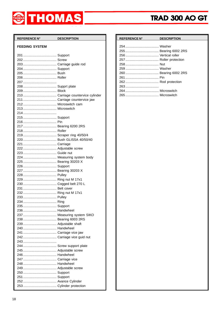![](_page_17_Picture_0.jpeg)

| REFERENCE N° DESCRIPTION |  |
|--------------------------|--|
| <b>FEEDING SYSTEM</b>    |  |
|                          |  |
|                          |  |
|                          |  |
|                          |  |
|                          |  |
|                          |  |
|                          |  |
|                          |  |
|                          |  |
|                          |  |
|                          |  |
|                          |  |
|                          |  |
|                          |  |
|                          |  |
|                          |  |
|                          |  |
|                          |  |
| 217  Bearing 6200 2RS    |  |
|                          |  |
| 219 Scraper ring 40/50/4 |  |
|                          |  |
|                          |  |
|                          |  |
|                          |  |
|                          |  |
|                          |  |
|                          |  |
|                          |  |
|                          |  |
|                          |  |
|                          |  |
|                          |  |
|                          |  |
|                          |  |
|                          |  |
|                          |  |
|                          |  |
|                          |  |
|                          |  |
|                          |  |
|                          |  |
|                          |  |
|                          |  |
|                          |  |
|                          |  |
|                          |  |
|                          |  |
|                          |  |
|                          |  |
|                          |  |
|                          |  |
|                          |  |
|                          |  |
|                          |  |

| <b>REFERENCE N°</b> | <b>DESCRIPTION</b> |
|---------------------|--------------------|
|                     |                    |
|                     |                    |
|                     |                    |
|                     |                    |
|                     |                    |
|                     |                    |
|                     |                    |
|                     |                    |
|                     |                    |
|                     |                    |
|                     |                    |
|                     |                    |
|                     |                    |
|                     |                    |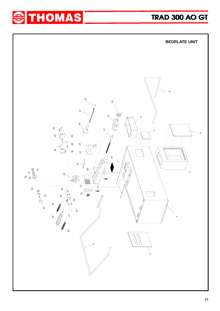![](_page_18_Picture_0.jpeg)

![](_page_18_Picture_2.jpeg)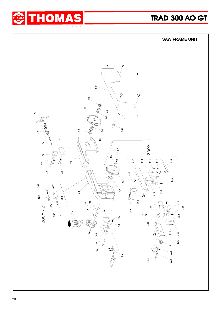![](_page_19_Picture_0.jpeg)

![](_page_19_Picture_2.jpeg)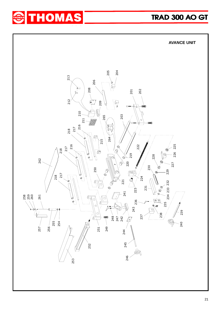![](_page_20_Picture_0.jpeg)

![](_page_20_Figure_2.jpeg)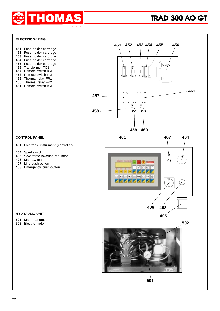![](_page_21_Picture_0.jpeg)

#### **ELECTRIC WIRING**

| 451 | Fuse holder cartridge |
|-----|-----------------------|
| 452 | Fuse holder cartridge |
| 453 | Fuse holder cartridge |
| 454 | Fuse holder cartridge |
| 455 | Fuse holder cartridge |
| 456 | Transformer TC1       |
| 457 | Remote switch KM      |
| 458 | Remote switch KM      |
| 459 | Thermal relay FR1     |
| 460 | Thermal relay FR2     |
| 461 | Remote switch KM      |

![](_page_21_Figure_4.jpeg)

**459 460**

#### **CONTROL PANEL**

Electronic instrument (controller)

- Sped switch
- Saw frame lowering regulator
- Main switch
- Line push button
- Emergency push-button

## **404** 1 / 1 2  $\sigma$ **Collaction** m m **Ck**  $\mathbf{1}$ K **408**

#### **HYDRAULIC UNIT**

- Main manometer
- Electric motor

![](_page_21_Picture_17.jpeg)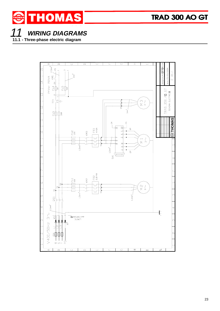![](_page_22_Picture_0.jpeg)

11 **WIRING DIAGRAMS 11.1 - Three-phase electric diagram**

![](_page_22_Figure_3.jpeg)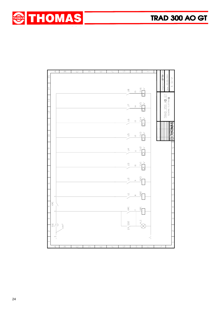![](_page_23_Picture_1.jpeg)

|                 | $\lhd$                        | $\mathbf{\underline{\underline{\alpha}}}$ | $\cup$ | $\qquad \qquad \Box$ | ш | L. | $\overline{u}$ | I                                                                                                                                                                                                                                                                                                                                                                                                                                                                                                                                                                                                              | $\longmapsto$       |                        |                                    |                |
|-----------------|-------------------------------|-------------------------------------------|--------|----------------------|---|----|----------------|----------------------------------------------------------------------------------------------------------------------------------------------------------------------------------------------------------------------------------------------------------------------------------------------------------------------------------------------------------------------------------------------------------------------------------------------------------------------------------------------------------------------------------------------------------------------------------------------------------------|---------------------|------------------------|------------------------------------|----------------|
| $\overline{15}$ |                               |                                           |        |                      |   |    |                |                                                                                                                                                                                                                                                                                                                                                                                                                                                                                                                                                                                                                |                     | Disegnato: M.SOTTORIVA | Data.: 25/05/2004                  | $01 - 2$       |
| $\overline{14}$ |                               |                                           |        |                      |   |    |                | $\begin{picture}(180,10) \put(0,0){\line(1,0){15}} \put(10,0){\line(1,0){15}} \put(10,0){\line(1,0){15}} \put(10,0){\line(1,0){15}} \put(10,0){\line(1,0){15}} \put(10,0){\line(1,0){15}} \put(10,0){\line(1,0){15}} \put(10,0){\line(1,0){15}} \put(10,0){\line(1,0){15}} \put(10,0){\line(1,0){15}} \put(10,0){\line(1,0){15}} \put(10,0){\line($                                                                                                                                                                                                                                                            |                     |                        |                                    | LJ.            |
| ഇ               |                               |                                           |        |                      |   |    |                |                                                                                                                                                                                                                                                                                                                                                                                                                                                                                                                                                                                                                |                     |                        |                                    |                |
| $\overline{a}$  |                               |                                           |        |                      |   |    |                | $\begin{picture}(180,170) \put(0,0){\line(1,0){150}} \put(10,0){\line(1,0){150}} \put(10,0){\line(1,0){150}} \put(10,0){\line(1,0){150}} \put(10,0){\line(1,0){150}} \put(10,0){\line(1,0){150}} \put(10,0){\line(1,0){150}} \put(10,0){\line(1,0){150}} \put(10,0){\line(1,0){150}} \put(10,0){\line(1,0){150}} \put(10,0){\line(1,0){150$                                                                                                                                                                                                                                                                    |                     |                        | TRAD 350 AD GT<br>SCHEMA ELETTRICO |                |
|                 |                               |                                           |        |                      |   |    |                | $\begin{picture}(130,10) \put(0,0){\line(1,0){155}} \put(150,10){\line(1,0){155}} \put(150,10){\line(1,0){155}} \put(150,10){\line(1,0){155}} \put(150,10){\line(1,0){155}} \put(150,10){\line(1,0){155}} \put(150,10){\line(1,0){155}} \put(150,10){\line(1,0){155}} \put(150,10){\line(1,0){155}} \put(150,10){\line(1,0){155}} \$                                                                                                                                                                                                                                                                           |                     |                        |                                    |                |
|                 |                               |                                           |        |                      |   |    |                |                                                                                                                                                                                                                                                                                                                                                                                                                                                                                                                                                                                                                |                     |                        |                                    | <b>SINONES</b> |
| $\Xi$           |                               |                                           |        |                      |   |    |                | $\begin{picture}(180,170) \put(0,0){\line(1,0){150}} \put(10,0){\line(1,0){150}} \put(10,0){\line(1,0){150}} \put(10,0){\line(1,0){150}} \put(10,0){\line(1,0){150}} \put(10,0){\line(1,0){150}} \put(10,0){\line(1,0){150}} \put(10,0){\line(1,0){150}} \put(10,0){\line(1,0){150}} \put(10,0){\line(1,0){150}} \put(10,0){\line(1,0){150$                                                                                                                                                                                                                                                                    |                     |                        |                                    |                |
| <sub>መ</sub>    |                               |                                           |        |                      |   |    |                | $\begin{array}{c}\n\begin{array}{ccc}\n\searrow & & \searrow & \\ \searrow & & \searrow & \\ \searrow & & \searrow & \\ \searrow & & \searrow & \\ \searrow & & \searrow & \\ \searrow & & \searrow & \\ \searrow & & \searrow & \\ \searrow & & \searrow & \\ \searrow & & \searrow & \\ \searrow & & \searrow & \\ \searrow & & \searrow & \\ \searrow & & \searrow & \\ \searrow & & \searrow & \\ \searrow & & \searrow & \\ \searrow & & \searrow & \\ \searrow & & \searrow & \\ \searrow & & \searrow & \\ \searrow & & \searrow & \\ \searrow & & \searrow & \\ \searrow & & \searrow & \\ \searrow &$ |                     |                        |                                    | $\sigma$       |
| $\infty$        |                               |                                           |        |                      |   |    |                | $\begin{array}{c}\n\stackrel{\text{S}}{=} \quad \stackrel{\text{S}}{=} \quad \stackrel{\text{S}}{=} \quad \stackrel{\text{S}}{=} \quad \stackrel{\text{S}}{=} \quad \stackrel{\text{S}}{=} \quad \stackrel{\text{S}}{=} \quad \stackrel{\text{S}}{=} \quad \stackrel{\text{S}}{=} \quad \stackrel{\text{S}}{=} \quad \stackrel{\text{S}}{=} \quad \stackrel{\text{S}}{=} \quad \stackrel{\text{S}}{=} \quad \stackrel{\text{S}}{=} \quad \stackrel{\text{S}}{=} \quad \stackrel{\text{S}}{=} \quad \stackrel{\text{S}}{=} \quad \stackrel{\text{S}}$                                                           |                     |                        |                                    | $\infty$       |
|                 |                               |                                           |        |                      |   |    |                |                                                                                                                                                                                                                                                                                                                                                                                                                                                                                                                                                                                                                |                     |                        |                                    |                |
| Q               |                               |                                           |        |                      |   |    | $-\frac{8}{5}$ | $rac{6}{\sqrt{3}}$                                                                                                                                                                                                                                                                                                                                                                                                                                                                                                                                                                                             |                     |                        |                                    | ∾              |
| ເທ              | in,                           |                                           |        |                      |   |    | $\frac{5}{2}$  | <b>KM2</b><br>$\infty$                                                                                                                                                                                                                                                                                                                                                                                                                                                                                                                                                                                         |                     |                        |                                    | ln             |
|                 | KM1                           |                                           |        |                      |   |    |                |                                                                                                                                                                                                                                                                                                                                                                                                                                                                                                                                                                                                                |                     |                        |                                    |                |
| 4               |                               |                                           |        |                      |   |    | $\sum$ KMI     | $\overline{\mathsf{K}}$<br>$\overline{r}$                                                                                                                                                                                                                                                                                                                                                                                                                                                                                                                                                                      |                     |                        |                                    | 4              |
| Μ               |                               |                                           |        |                      |   |    |                |                                                                                                                                                                                                                                                                                                                                                                                                                                                                                                                                                                                                                | $\frac{1}{\lambda}$ |                        |                                    | $\cup$         |
| 'n              | $\overline{a}$ $\overline{b}$ | $2.5$ mm $^2$                             |        |                      |   |    | $\sum_{s}$     |                                                                                                                                                                                                                                                                                                                                                                                                                                                                                                                                                                                                                |                     |                        |                                    | $\alpha$       |
|                 | ო                             |                                           |        |                      |   |    |                |                                                                                                                                                                                                                                                                                                                                                                                                                                                                                                                                                                                                                | $\mathbf{q}$        |                        |                                    |                |
|                 | Æ                             |                                           |        |                      |   |    |                | $\top$                                                                                                                                                                                                                                                                                                                                                                                                                                                                                                                                                                                                         |                     |                        |                                    |                |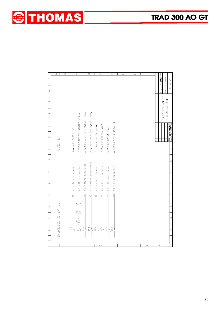![](_page_24_Picture_0.jpeg)

![](_page_24_Picture_1.jpeg)

|             | ⊄                | $\overline{\mathbf{c}}$ |                          | $\overline{\cup}$                                                                                    |                               | $\overline{\square}$          |                           | Ε                        |                       | L.                      | G | $\overline{1}$          | $\overline{\phantom{0}}$ |  |                          |                                    |                    |
|-------------|------------------|-------------------------|--------------------------|------------------------------------------------------------------------------------------------------|-------------------------------|-------------------------------|---------------------------|--------------------------|-----------------------|-------------------------|---|-------------------------|--------------------------|--|--------------------------|------------------------------------|--------------------|
| $\mathbb E$ |                  |                         |                          |                                                                                                      |                               |                               |                           |                          |                       |                         |   |                         |                          |  | Disegnato: M.SOTTORIVA   | Data.: 25/05/2004                  | $01 - 3$           |
| 4           |                  |                         |                          |                                                                                                      |                               |                               |                           |                          |                       |                         |   |                         |                          |  |                          |                                    | $\bar{\mathbf{u}}$ |
| ო           |                  |                         |                          |                                                                                                      |                               |                               |                           |                          |                       |                         |   |                         |                          |  |                          | TRAD 350 AD GT<br>SCHEMA ELETTRICO |                    |
| Ιú          |                  |                         |                          |                                                                                                      |                               |                               |                           |                          |                       |                         |   |                         |                          |  |                          |                                    |                    |
|             |                  |                         |                          |                                                                                                      |                               |                               |                           |                          |                       |                         |   |                         |                          |  |                          |                                    |                    |
| $\supseteq$ |                  |                         | U1/D1-08 CENTRALINA DLID | U2/02-07 MOTORE NASTRO+ACQUA                                                                         | U3/03-06 APERTURA MORSA FISSA | U4/04-05 APERTURA MORSA CARRO | U5/05-04 SALITA ARCD      | U6/06-03 DISCESA ARCO    | U7/07-02 CARRO AVANTI | U8/08-02 CARRO INDIETRO |   |                         |                          |  |                          |                                    | <b>ЭТНОМАЯ</b>     |
| lس          | USCITE           |                         |                          |                                                                                                      |                               |                               |                           |                          |                       |                         |   |                         |                          |  |                          |                                    | ው                  |
| $\infty$    |                  |                         |                          |                                                                                                      |                               |                               |                           |                          |                       |                         |   |                         |                          |  |                          |                                    | $\infty$           |
|             |                  |                         | = Termico centr.         |                                                                                                      |                               |                               |                           |                          |                       |                         |   |                         |                          |  |                          |                                    |                    |
| D           |                  |                         | $\overline{\mathbf{x}}$  | $X2 = Motore$ nothe                                                                                  | $x3 =$ Micro arco alto        | X4 = Micro arco basso         | $X5 =$ Carro avanti       | X6 = Carro indietro      | $X7 = Rotturna$ lama  | $X8 =$ Fine materiale   |   |                         |                          |  |                          |                                    | $\circ$            |
| ഥ           |                  |                         | $\overline{a}$           | 5g                                                                                                   | $\frac{6}{20}$                | $\overline{\mathbb{C}}$       | $\mathbf{g}$              | $\mathfrak{S}$           | $\frac{10}{2}$        | $\frac{1}{2}$           |   |                         |                          |  |                          |                                    | $\sqrt{2}$         |
| 4           |                  |                         |                          | SAI<br>$F^3$                                                                                         |                               |                               |                           |                          |                       |                         |   |                         |                          |  |                          |                                    | 4                  |
|             | INGRESSI STEP_01 |                         |                          | $\frac{1}{2}$<br>$\frac{1}{2}$ $\frac{1}{2}$ $\frac{1}{2}$ $\frac{1}{2}$ $\frac{1}{2}$ $\frac{1}{2}$ |                               |                               |                           |                          |                       |                         |   |                         |                          |  |                          |                                    | $\infty$           |
| വ           |                  |                         | e<br>E Z                 |                                                                                                      | $\frac{3}{2}$                 |                               | $rac{8}{4}$ $\frac{8}{8}$ | $\frac{8}{3}$ $\sqrt{2}$ |                       | $\gamma$                |   |                         |                          |  |                          |                                    | $\infty$           |
|             | ď                | $\omega$                |                          | ( )                                                                                                  |                               | $\Box$                        |                           | Ш                        |                       | L.                      | ق | $\overline{\mathbb{I}}$ | $\mapsto$                |  | $\overline{\phantom{0}}$ |                                    |                    |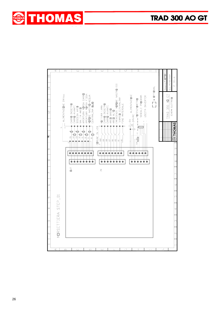![](_page_25_Picture_0.jpeg)

![](_page_25_Picture_1.jpeg)

![](_page_25_Figure_2.jpeg)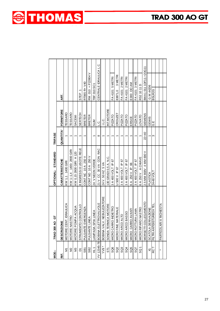| <br>MO∷         | 19 Or<br><b>TRAD 300</b>               | OPTIONAL: STANDARD       | TRIFASE          |                  |                         |  |
|-----------------|----------------------------------------|--------------------------|------------------|------------------|-------------------------|--|
| اند<br>آ        | 쁮<br><b>DESCRIZIO</b>                  | <b>CARATTERISTICHE</b>   | <b>QUANTITA'</b> | <b>FORNITORE</b> | ART.                    |  |
| Σ               | MOTORE CENT. IDRAULICA                 | KW 1,1 1400 GIRI         |                  | <b>TESSARO</b>   |                         |  |
| $\frac{2}{2}$   | MOTORE NASTRO                          | KW 1-1,4 1400-2800 GIRI  |                  | TESSARO          |                         |  |
| N <sub>3</sub>  | MOTORE POMPA ACQUA                     | KW 0,15 2800 GIRI H 120  |                  | SACEMI           |                         |  |
| δ               | O CONTROLLO<br><b>STRUMEMT</b>         | 8 INGRESSI 8 USCITE RELE |                  | SERTECH          | ۳<br>STEP               |  |
| SB1             | <b>EMERGENZA</b><br><b>PULSANTE</b>    | CONT NC 10 A 250 V       |                  | <b>BRETER</b>    | RT065 R+ V40            |  |
| SB <sub>2</sub> | LINEA<br>PULSANTE                      | CONT NO 10 A 250 V       |                  | <b>BRETER</b>    | RM 010 + P22804 V       |  |
| $\vec{t}$       | LAMPADA SPIA LINEA                     | 24 V NEON VERDE          |                  | <b>SLIM</b>      | <b>TBF 010 SC1</b>      |  |
|                 | YV 12345-78 BOBINA ELETTROVALVOLE      | 21 V CC 30 VA CON RAC    | $\infty$         | ن<br>ٺ           | CENTRALE IDRAULICA L.C. |  |
| $YV9*$          | LV. NEBULIZZATORE<br><b>BOBINA VAI</b> | 24 V. 50 HZ 5 VA         |                  | ن را<br>با       |                         |  |
| <b>ST1</b>      | SONDA TERMICA MOTORE                   | 130 GRADI 0,5 A. N.C.    |                  | INT.MOTORE       |                         |  |
| SQ6             | MICRO CARRO INDIETRO                   | 3 A 400 VOLT IP 67       |                  | PIZZATO          | FA 4101 5 METRI         |  |
| SQ <sub>2</sub> | MATERIALE<br>MICRO FINE                | U 500 V IP 67            |                  | <b>CROUZET</b>   | 3 METRI<br>83871,0      |  |
| SQ3             | MICRO ARCO ALTO                        | 3 A 400 VOLT IP 67       |                  | PIZZATO          | FA 4101 2 METRI         |  |
| SQ4             | MICRO ARCO BASSO                       | 3 A 400 VOLT IP 67       |                  | PIZZATO          | FA 4101 2 METRI         |  |
| SQ5             | MICRO CARRO AVANTI                     | 6 A 250 V IP 66          |                  | ERSCE            | E300 OO AM              |  |
| SQ7             | TURA LAMA<br>MICRO ROT                 | 3 A 400 VOLT IP 67       |                  | PIZATO           | FA 4101 3 METRI         |  |
| SS              | MICRO RIPARO NASTRO                    | 6 A 250 V A CHIAVE       |                  | LOVATO           | RS2 10 11 D             |  |
|                 | COLLEGAMENTO<br>MORSETTI               | 2.5 MM 800V 4 MM 690 V   | $22 + 40$        | SIEMENS          | 8WA1 011 1DF11-+2DG11   |  |
| ≅               | SCATOLA DERIVAZIONE                    | PLASTICA                 |                  | GEWIS            | G.W.44206               |  |
| RC?             | <b>DISTURBOXTEL</b><br>FILTRI ANTI     | 24-48 VOLT               | ო                | ш<br>С           | BSLR <sub>2G</sub>      |  |
|                 |                                        |                          |                  |                  |                         |  |
| ×               | RI A RICHIESTA<br>PARTICOLA            |                          |                  |                  |                         |  |
|                 |                                        |                          |                  |                  |                         |  |

![](_page_26_Picture_1.jpeg)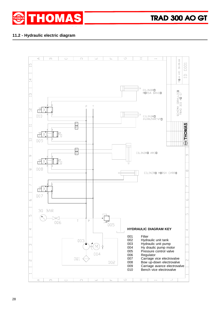![](_page_27_Picture_0.jpeg)

#### **11.2 - Hydraulic electric diagram**

![](_page_27_Figure_3.jpeg)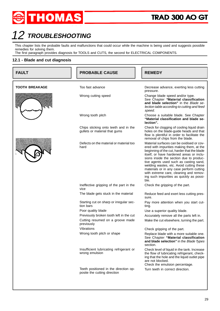![](_page_28_Picture_0.jpeg)

# 12 TROUBLESHOOTING

This chapter lists the probable faults and malfunctions that could occur while the machine is being used and suggests possible remedies for solving them.

The first paragraph provides diagnosis for TOOLS and CUTS, the second for ELECTRICAL COMPONENTS.

#### **12.1 - Blade and cut diagnosis**

| <b>FAULT</b>          | <b>PROBABLE CAUSE</b>                                                 | <b>REMEDY</b>                                                                                                                                                                                                                                                                                                                                                                                                                                               |  |  |  |  |
|-----------------------|-----------------------------------------------------------------------|-------------------------------------------------------------------------------------------------------------------------------------------------------------------------------------------------------------------------------------------------------------------------------------------------------------------------------------------------------------------------------------------------------------------------------------------------------------|--|--|--|--|
| <b>TOOTH BREAKAGE</b> | Too fast advance                                                      | Decrease advance, exerting less cutting                                                                                                                                                                                                                                                                                                                                                                                                                     |  |  |  |  |
|                       |                                                                       | pressure.                                                                                                                                                                                                                                                                                                                                                                                                                                                   |  |  |  |  |
|                       | Wrong cutting speed                                                   | Change blade speed and/or type.<br>See Chapter "Material classification<br>and blade selection" in the Blade se-<br>lection table according to cutting and feed<br>speed.                                                                                                                                                                                                                                                                                   |  |  |  |  |
|                       | Wrong tooth pitch                                                     | Choose a suitable blade. See Chapter<br>"Material classification and blade se-<br>lection".                                                                                                                                                                                                                                                                                                                                                                 |  |  |  |  |
|                       | Chips sticking onto teeth and in the<br>gullets or material that gums | Check for clogging of cooling liquid drain<br>holes on the blade-guide heads and that<br>flow is plentiful in order to facilitate the<br>removal of chips from the blade.                                                                                                                                                                                                                                                                                   |  |  |  |  |
|                       | Defects on the material or material too<br>hard                       | Material surfaces can be oxidised or cov-<br>ered with impurities making them, at the<br>beginning of the cut, harder that the blade<br>itself, or have hardened areas or inclu-<br>sions inside the section due to produc-<br>tive agents used such as casting sand,<br>welding wastes, etc. Avoid cutting these<br>materials or in any case perform cutting<br>with extreme care, cleaning and remov-<br>ing such impurities as quickly as possi-<br>ble. |  |  |  |  |
|                       | Ineffective gripping of the part in the<br>vice                       | Check the gripping of the part.                                                                                                                                                                                                                                                                                                                                                                                                                             |  |  |  |  |
|                       | The blade gets stuck in the material                                  | Reduce feed and exert less cutting pres-<br>sure.                                                                                                                                                                                                                                                                                                                                                                                                           |  |  |  |  |
|                       | Starting cut on sharp or irregular sec-<br>tion bars                  | Pay more attention when you start cut-<br>ting.                                                                                                                                                                                                                                                                                                                                                                                                             |  |  |  |  |
|                       | Poor quality blade                                                    | Use a superior quality blade.                                                                                                                                                                                                                                                                                                                                                                                                                               |  |  |  |  |
|                       | Previously broken tooth left in the cut                               | Accurately remove all the parts left in.                                                                                                                                                                                                                                                                                                                                                                                                                    |  |  |  |  |
|                       | Cutting resumed on a groove made<br>previously                        | Make the cut elsewhere, turning the part.                                                                                                                                                                                                                                                                                                                                                                                                                   |  |  |  |  |
|                       | Vibrations                                                            | Check gripping of the part.                                                                                                                                                                                                                                                                                                                                                                                                                                 |  |  |  |  |
|                       | Wrong tooth pitch or shape                                            | Replace blade with a more suitable one.<br>See Chapter "Material classification<br>and blade selection" in the Blade Types<br>section.                                                                                                                                                                                                                                                                                                                      |  |  |  |  |
|                       | Insufficient lubricating refrigerant or<br>wrong emulsion             | Check level of liquid in the tank. Increase<br>the flow of lubricating refrigerant, check-<br>ing that the hole and the liquid outlet pipe<br>are not blocked.<br>Check the emulsion percentage.                                                                                                                                                                                                                                                            |  |  |  |  |
|                       | Teeth positioned in the direction op-<br>posite the cutting direction | Turn teeth in correct direction.                                                                                                                                                                                                                                                                                                                                                                                                                            |  |  |  |  |
|                       |                                                                       |                                                                                                                                                                                                                                                                                                                                                                                                                                                             |  |  |  |  |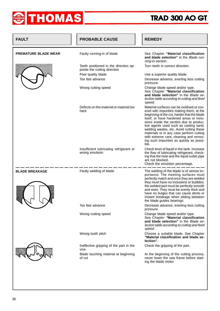![](_page_29_Picture_0.jpeg)

| <b>FAULT</b>                | <b>PROBABLE CAUSE</b>                                                 | <b>REMEDY</b>                                                                                                                                                                                                                                                                                                                                                                                                                                               |
|-----------------------------|-----------------------------------------------------------------------|-------------------------------------------------------------------------------------------------------------------------------------------------------------------------------------------------------------------------------------------------------------------------------------------------------------------------------------------------------------------------------------------------------------------------------------------------------------|
| <b>PREMATURE BLADE WEAR</b> | Faulty running-in of blade                                            | See Chapter "Material classification<br>and blade selection" in the Blade run-<br>ning-in section.                                                                                                                                                                                                                                                                                                                                                          |
|                             | Teeth positioned in the direction op-<br>posite the cutting direction | Turn teeth in correct direction.                                                                                                                                                                                                                                                                                                                                                                                                                            |
|                             | Poor quality blade                                                    | Use a superior quality blade.                                                                                                                                                                                                                                                                                                                                                                                                                               |
|                             | Too fast advance                                                      | Decrease advance, exerting less cutting<br>pressure.                                                                                                                                                                                                                                                                                                                                                                                                        |
|                             | Wrong cutting speed                                                   | Change blade speed and/or type.<br>See Chapter "Material classification<br>and blade selection" in the Blade se-<br>lection table according to cutting and feed<br>speed.                                                                                                                                                                                                                                                                                   |
|                             | Defects on the material or material too<br>hard                       | Material surfaces can be oxidised or cov-<br>ered with impurities making them, at the<br>beginning of the cut, harder that the blade<br>itself, or have hardened areas or inclu-<br>sions inside the section due to produc-<br>tive agents used such as casting sand,<br>welding wastes, etc. Avoid cutting these<br>materials or in any case perform cutting<br>with extreme care, cleaning and remov-<br>ing such impurities as quickly as possi-<br>ble. |
|                             | Insufficient lubricating refrigerant or<br>wrong emulsion             | Check level of liquid in the tank. Increase<br>the flow of lubricating refrigerant, check-<br>ing that the hole and the liquid outlet pipe<br>are not blocked.<br>Check the emulsion percentage.                                                                                                                                                                                                                                                            |
| <b>BLADE BREAKAGE</b>       | Faulty welding of blade                                               | The welding of the blade is of utmost im-<br>portance. The meeting surfaces must<br>perfectly match and once they are welded<br>they must have no inclusions or bubbles;<br>the welded part must be perfectly smooth<br>and even. They must be evenly thick and<br>have no bulges that can cause dents or<br>instant breakage when sliding between<br>the blade guides bearings.                                                                            |
|                             | Too fast advance                                                      | Decrease advance, exerting less cutting<br>pressure.                                                                                                                                                                                                                                                                                                                                                                                                        |
|                             | Wrong cutting speed                                                   | Change blade speed and/or type.<br>See Chapter "Material classification<br>and blade selection" in the Blade se-<br>lection table according to cutting and feed<br>speed.                                                                                                                                                                                                                                                                                   |
|                             | Wrong tooth pitch                                                     | Choose a suitable blade. See Chapter<br>"Material classification and blade se-<br>lection".                                                                                                                                                                                                                                                                                                                                                                 |
|                             | Ineffective gripping of the part in the<br>vice                       | Check the gripping of the part.                                                                                                                                                                                                                                                                                                                                                                                                                             |
|                             | Blade touching material at beginning<br>of cut                        | At the beginning of the cutting process,<br>never lower the saw frame before start-<br>ing the blade motor.                                                                                                                                                                                                                                                                                                                                                 |
|                             |                                                                       |                                                                                                                                                                                                                                                                                                                                                                                                                                                             |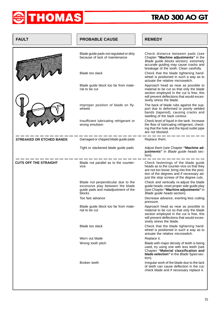![](_page_30_Picture_0.jpeg)

| <b>FAULT</b>                    | <b>PROBABLE CAUSE</b>                                                                                                   | <b>REMEDY</b>                                                                                                                                                                                                            |  |  |  |  |
|---------------------------------|-------------------------------------------------------------------------------------------------------------------------|--------------------------------------------------------------------------------------------------------------------------------------------------------------------------------------------------------------------------|--|--|--|--|
|                                 | Blade guide pads not regulated or dirty<br>because of lack of maintenance                                               | Check distance between pads (see<br>Chapter "Machine adjustments" in the<br>Blade guide blocks section): extremely<br>accurate guiding may cause cracks and<br>breakage of the tooth. Clean carefully.                   |  |  |  |  |
|                                 | Blade too slack                                                                                                         | Check that the blade tightening hand-<br>wheel is positioned in such a way as to<br>actuate the relative microswitch.                                                                                                    |  |  |  |  |
|                                 | Blade guide block too far from mate-<br>rial to be cut                                                                  | Approach head as near as possible to<br>material to be cut so that only the blade<br>section employed in the cut is free, this<br>will prevent deflections that would exces-<br>sively stress the blade.                 |  |  |  |  |
|                                 | Improper position of blade on fly-<br>wheels                                                                            | The back of blade rubs against the sup-<br>port due to deformed or poorly welded<br>bands (tapered), causing cracks and<br>swelling of the back contour.                                                                 |  |  |  |  |
|                                 | Insufficient lubricating refrigerant or<br>wrong emulsion                                                               | Check level of liquid in the tank. Increase<br>the flow of lubricating refrigerant, check-<br>ing that the hole and the liquid outlet pipe<br>are not blocked.                                                           |  |  |  |  |
| <b>STREAKED OR ETCHED BANDS</b> | Damaged or chipped blade guide pads                                                                                     | Replace them.                                                                                                                                                                                                            |  |  |  |  |
|                                 | Tight or slackened blade guide pads                                                                                     | Adjust them (see Chapter "Machine ad-<br>justments" in Blade guide heads sec-<br>tion).                                                                                                                                  |  |  |  |  |
| <b>CUTS OFF THE STRAIGHT</b>    | Blade not parallel as to the counter-<br>vice                                                                           | Check fastenings of the blade guide<br>heads as to the counter-vice so that they<br>are not too loose; bring into line the posi-<br>tion of the degrees and if necessary ad-<br>just the stop screws of the degree cuts. |  |  |  |  |
|                                 | Blade not perpendicular due to the<br>excessive play between the blade<br>guide pads and maladjustment of the<br>blocks | Check and vertically re-adjust the blade<br>guide heads; reset proper side guide play<br>(see Chapter "Machine adjustments" in<br>Blade guide heads section).                                                            |  |  |  |  |
|                                 | Too fast advance                                                                                                        | Decrease advance, exerting less cutting<br>pressure.                                                                                                                                                                     |  |  |  |  |
|                                 | Blade guide block too far from mate-<br>rial to be cut                                                                  | Approach head as near as possible to<br>material to be cut so that only the blade<br>section employed in the cut is free, this<br>will prevent deflections that would exces-<br>sively stress the blade.                 |  |  |  |  |
|                                 | Blade too slack                                                                                                         | Check that the blade tightening hand-<br>wheel is positioned in such a way as to<br>actuate the relative microswitch.                                                                                                    |  |  |  |  |
|                                 | Worn out blade                                                                                                          | Replace it.                                                                                                                                                                                                              |  |  |  |  |
|                                 | Wrong tooth pitch                                                                                                       | Blade with major density of teeth is being<br>used, try using one with less teeth (see<br>Chapter "Material classification and<br>blade selection" in the Blade Types sec-<br>tion).                                     |  |  |  |  |
|                                 | Broken teeth                                                                                                            | Irregular work of the blade due to the lack<br>of teeth can cause deflection in the cut;<br>check blade and if necessary replace it.                                                                                     |  |  |  |  |
|                                 |                                                                                                                         |                                                                                                                                                                                                                          |  |  |  |  |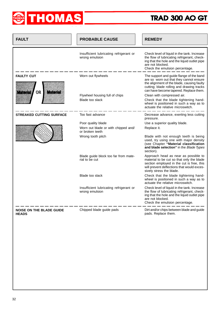![](_page_31_Picture_0.jpeg)

| <b>FAULT</b>                                                  | <b>PROBABLE CAUSE</b>                                     | <b>REMEDY</b>                                                                                                                                                                                                                                          |  |  |  |  |
|---------------------------------------------------------------|-----------------------------------------------------------|--------------------------------------------------------------------------------------------------------------------------------------------------------------------------------------------------------------------------------------------------------|--|--|--|--|
|                                                               | Insufficient lubricating refrigerant or<br>wrong emulsion | Check level of liquid in the tank. Increase<br>the flow of lubricating refrigerant, check-<br>ing that the hole and the liquid outlet pipe<br>are not blocked.<br>Check the emulsion percentage.                                                       |  |  |  |  |
| <b>FAULTY CUT</b><br><b>OR</b><br><b>Material</b><br>Linonals | Worn out flywheels<br>Flywheel housing full of chips      | The support and guide flange of the band<br>are so worn out that they cannot ensure<br>the alignment of the blade, causing faulty<br>cutting; blade rolling and drawing tracks<br>can have become tapered. Replace them.<br>Clean with compressed air. |  |  |  |  |
|                                                               | Blade too slack                                           | Check that the blade tightening hand-<br>wheel is positioned in such a way as to<br>actuate the relative microswitch.                                                                                                                                  |  |  |  |  |
| <b>STREAKED CUTTING SURFACE</b>                               | Too fast advance                                          | Decrease advance, exerting less cutting<br>pressure.                                                                                                                                                                                                   |  |  |  |  |
|                                                               | Poor quality blade                                        | Use a superior quality blade.                                                                                                                                                                                                                          |  |  |  |  |
|                                                               | Worn out blade or with chipped and/<br>or broken teeth    | Replace it.                                                                                                                                                                                                                                            |  |  |  |  |
|                                                               | Wrong tooth pitch                                         | Blade with not enough teeth is being<br>used, try using one with major density<br>(see Chapter "Material classification<br>and blade selection" in the Blade Types<br>section).                                                                        |  |  |  |  |
|                                                               | Blade guide block too far from mate-<br>rial to be cut    | Approach head as near as possible to<br>material to be cut so that only the blade<br>section employed in the cut is free, this<br>will prevent deflections that would exces-<br>sively stress the blade.                                               |  |  |  |  |
|                                                               | Blade too slack                                           | Check that the blade tightening hand-<br>wheel is positioned in such a way as to<br>actuate the relative microswitch.                                                                                                                                  |  |  |  |  |
|                                                               | Insufficient lubricating refrigerant or<br>wrong emulsion | Check level of liquid in the tank. Increase<br>the flow of lubricating refrigerant, check-<br>ing that the hole and the liquid outlet pipe<br>are not blocked.<br>Check the emulsion percentage.                                                       |  |  |  |  |
| <b>NOISE ON THE BLADE GUIDE</b><br><b>HEADS</b>               | Chipped blade guide pads                                  | Dirt and/or chips between blade and guide<br>pads. Replace them.                                                                                                                                                                                       |  |  |  |  |
|                                                               |                                                           |                                                                                                                                                                                                                                                        |  |  |  |  |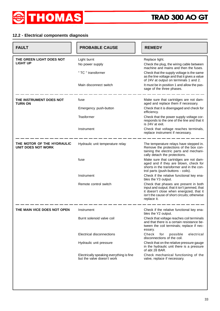![](_page_32_Picture_0.jpeg)

#### **12.2 - Electrical components diagnosis**

| <b>FAULT</b>                                            | <b>PROBABLE CAUSE</b>                                                  | <b>REMEDY</b>                                                                                                                                                                                    |
|---------------------------------------------------------|------------------------------------------------------------------------|--------------------------------------------------------------------------------------------------------------------------------------------------------------------------------------------------|
| THE GREEN LIGHT DOES NOT                                | Light burnt                                                            | Replace light.                                                                                                                                                                                   |
| <b>LIGHT UP</b>                                         | No power supply                                                        | Check the plug, the wiring cable between<br>machine and mains and then the fuses.                                                                                                                |
|                                                         | " TC " transformer                                                     | Check that the supply voltage is the same<br>as the line voltage and that it gives a value<br>of 24V at output on terminals 1 and 2.                                                             |
|                                                         | Main disconnect switch                                                 | It must be in position 1 and allow the pas-<br>sage of the three phases.                                                                                                                         |
| THE INSTRUMENT DOES NOT<br>TURN ON                      | fuse                                                                   | Make sure that cartridges are not dam-<br>aged and replace them if necessary.                                                                                                                    |
|                                                         | Emergency push-button                                                  | Check that it is disengaged and check for<br>efficiency.                                                                                                                                         |
|                                                         | Trasformer                                                             | Check that the power supply voltage cor-<br>responds to the one of the line and that it<br>is 24V at exit.                                                                                       |
|                                                         | Instrument                                                             | Check that voltage reaches terminals,<br>replace instrument if necessary.                                                                                                                        |
| THE MOTOR OF THE HYDRAULIC<br><b>UNIT DOES NOT WORK</b> | Hydraulic unit temperature relay                                       | The temperature relays have stepped in.<br>Remove the protections of the box con-<br>taining the electric parts and mechani-<br>cally detach the protections.                                    |
|                                                         | fuse                                                                   | Make sure that cartridges are not dam-<br>aged and if they are blown, check for<br>shorts in the transformer and in the con-<br>trol parts (push-buttons - coils).                               |
|                                                         | Instrument                                                             | Check if the relative functional key ena-<br>bles the Y3 output.                                                                                                                                 |
|                                                         | Remote control switch                                                  | Check that phases are present in both<br>input and output; that it isn't jammed, that<br>it doesn't close when energized, that it<br>isn't the cause of short circuits; otherwise<br>replace it. |
| THE MAIN VICE DOES NOT OPEN                             | Instrument                                                             | Check if the relative functional key ena-<br>bles the Y2 output.                                                                                                                                 |
|                                                         | Burnt solenoid valve coil                                              | Check that voltage reaches coil terminals<br>and that there is a certain resistance be-<br>tween the coil terminals; replace if nec-<br>essary.                                                  |
|                                                         | Electrical disconnections                                              | Check<br>for<br>possible<br>electrical<br>disconnections of the coil.                                                                                                                            |
|                                                         | Hydraulic unit pressure                                                | Check that on the relative pressure gauge<br>in the hydraulic unit there is a pressure<br>of abt 28 BAR.                                                                                         |
|                                                         | Electrically speaking everything is fine<br>but the valve doesn't work | Check mechanical functioning of the<br>valve, replace if necessary.                                                                                                                              |
|                                                         |                                                                        |                                                                                                                                                                                                  |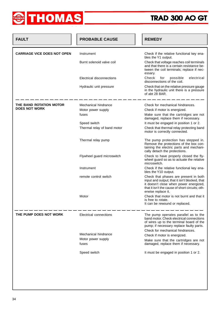![](_page_33_Picture_0.jpeg)

| <b>FAULT</b>                       | <b>PROBABLE CAUSE</b>       | <b>REMEDY</b>                                                                                                                                                                                             |
|------------------------------------|-----------------------------|-----------------------------------------------------------------------------------------------------------------------------------------------------------------------------------------------------------|
| <b>CARRIAGE VICE DOES NOT OPEN</b> | Instrument                  | Check if the relative functional key ena-                                                                                                                                                                 |
|                                    | Burnt solenoid valve coil   | bles the Y1 output.<br>Check that voltage reaches coil terminals<br>and that there is a certain resistance be-<br>tween the coil terminals; replace if nec-<br>essary.                                    |
|                                    | Electrical disconnections   | Check<br>possible<br>electrical<br>for<br>disconnections of the coil.                                                                                                                                     |
|                                    | Hydraulic unit pressure     | Check that on the relative pressure gauge<br>in the hydraulic unit there is a pressure<br>of abt 28 BAR.                                                                                                  |
| THE BAND ROTATION MOTOR            | Mechanical hindrance        | Check for mechanical hindrances.                                                                                                                                                                          |
| <b>DOES NOT WORK</b>               | Motor power supply          | Check if motor is energized.                                                                                                                                                                              |
|                                    | fuses                       | Make sure that the cartridges are not<br>damaged, replace them if necessary.                                                                                                                              |
|                                    | Speed switch                | It must be engaged in position 1 or 2.                                                                                                                                                                    |
|                                    | Thermal relay of band motor | Check that thermal relay protecting band<br>motor is correctly connected.                                                                                                                                 |
|                                    | Thermal relay pump          | The pump protection has stepped in.<br>Remove the protections of the box con-<br>taining the electric parts and mechani-<br>cally detach the protections.                                                 |
|                                    | Flywheel guard microswitch  | Check to have properly closed the fly-<br>wheel guard so as to actuate the relative<br>microswitch.                                                                                                       |
|                                    | Instrument                  | Check if the relative functional key ena-<br>bles the Y10 output.                                                                                                                                         |
|                                    | remote control switch       | Check that phases are present in both<br>input and output; that it isn't blocked, that<br>it doesn't close when power energized,<br>that it isn't the cause of short circuits; oth-<br>erwise replace it. |
|                                    | Motor                       | Check that motor is not burnt and that it<br>is free to rotate.<br>It can be rewound or replaced.                                                                                                         |
| THE PUMP DOES NOT WORK             | Electrical connections      | The pump operates parallel as to the<br>band motor. Check electrical connections<br>of wires up to the terminal board of the<br>pump; if necessary replace faulty parts.                                  |
|                                    | Mechanical hindrance        | Check for mechanical hindrances.                                                                                                                                                                          |
|                                    | Motor power supply          | Check if motor is energized.                                                                                                                                                                              |
|                                    | fuses                       | Make sure that the cartridges are not<br>damaged, replace them if necessary.                                                                                                                              |
|                                    | Speed switch                | It must be engaged in position 1 or 2.                                                                                                                                                                    |
|                                    |                             |                                                                                                                                                                                                           |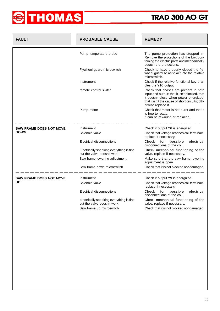![](_page_34_Picture_0.jpeg)

| <b>FAULT</b>                   | <b>PROBABLE CAUSE</b>                                                  | <b>REMEDY</b>                                                                                                                                                                                             |
|--------------------------------|------------------------------------------------------------------------|-----------------------------------------------------------------------------------------------------------------------------------------------------------------------------------------------------------|
|                                | Pump temperature probe                                                 | The pump protection has stepped in.<br>Remove the protections of the box con-<br>taining the electric parts and mechanically<br>detach the protections.                                                   |
|                                | Flywheel guard microswitch                                             | Check to have properly closed the fly-<br>wheel guard so as to actuate the relative<br>microswitch.                                                                                                       |
|                                | Instrument                                                             | Check if the relative functional key ena-<br>bles the Y10 output.                                                                                                                                         |
|                                | remote control switch                                                  | Check that phases are present in both<br>input and output; that it isn't blocked, that<br>it doesn't close when power energized,<br>that it isn't the cause of short circuits; oth-<br>erwise replace it. |
|                                | Pump motor                                                             | Check that motor is not burnt and that it<br>is free to rotate.<br>It can be rewound or replaced.                                                                                                         |
| <b>SAW FRAME DOES NOT MOVE</b> | Instrument                                                             | Check if output Y6 is energized.                                                                                                                                                                          |
| <b>DOWN</b>                    | Solenoid valve                                                         | Check that voltage reaches coil terminals;<br>replace if necessary.                                                                                                                                       |
|                                | Electrical disconnections                                              | Check<br>electrical<br>for<br>possible<br>disconnections of the coil.                                                                                                                                     |
|                                | Electrically speaking everything is fine<br>but the valve doesn't work | Check mechanical functioning of the<br>valve, replace if necessary.                                                                                                                                       |
|                                | Saw frame lowering adjustment                                          | Make sure that the saw frame lowering<br>adjustment is open.                                                                                                                                              |
|                                | Saw frame down microswitch                                             | Check that it is not blocked nor damaged.                                                                                                                                                                 |
| <b>SAW FRAME DOES NOT MOVE</b> | Instrument                                                             | Check if output Y9 is energized.                                                                                                                                                                          |
| UP                             | Solenoid valve                                                         | Check that voltage reaches coil terminals;<br>replace if necessary.                                                                                                                                       |
|                                | Electrical disconnections                                              | Check<br>for<br>possible<br>electrical<br>disconnections of the coil.                                                                                                                                     |
|                                | Electrically speaking everything is fine<br>but the valve doesn't work | Check mechanical functioning of the<br>valve, replace if necessary.                                                                                                                                       |
|                                | Saw frame up microswitch                                               | Check that it is not blocked nor damaged.                                                                                                                                                                 |
|                                |                                                                        |                                                                                                                                                                                                           |
|                                |                                                                        |                                                                                                                                                                                                           |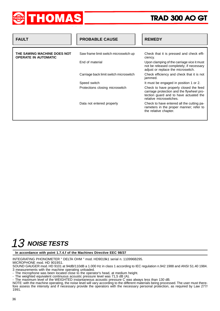![](_page_35_Picture_0.jpeg)

| <b>FAULT</b>                                               | <b>PROBABLE CAUSE</b>                  | <b>REMEDY</b>                                                                                                                                            |
|------------------------------------------------------------|----------------------------------------|----------------------------------------------------------------------------------------------------------------------------------------------------------|
|                                                            |                                        |                                                                                                                                                          |
| THE SAWING MACHINE DOES NOT<br><b>OPERATE IN AUTOMATIC</b> | Saw frame limit switch microswitch up  | Check that it is pressed and check effi-<br>ciency.                                                                                                      |
|                                                            | End of material                        | Upon clamping of the carriage vice it must<br>not be released completely; if necessary<br>adjust or replace the microswitch.                             |
|                                                            | Carriage back limit switch microswitch | Check efficiency and check that it is not<br>jammed.                                                                                                     |
|                                                            | Speed switch                           | It must be engaged in position 1 or 2.                                                                                                                   |
|                                                            | Protections closing microswitch        | Check to have properly closed the feed<br>carriage protection and the flywheel pro-<br>tection guard and to have actuated the<br>relative microswitches. |
|                                                            | Data not entered properly              | Check to have entered all the cutting pa-<br>rameters in the proper manner; refer to<br>the relative chapter.                                            |
|                                                            |                                        |                                                                                                                                                          |

# 13 NOISE TESTS

**In accordance with point 1.7.4.f of the Machines Directive EEC 98/37**

INTEGRATING PHONOMETER " DELTA OHM " mod. HD9019k1 serial n. 110996B295. MICROPHONE mod. HD 9019S1.

SOUND GAUGER mod. HD 9101 at 94dB/110dB a 1.000 Hz in class 1 according to IEC regulation n.942 1988 and ANSI S1.40 1984. 3 measurements with the machine operating unloaded.

- The microphone was been located close to the operator's head, at medium height.

- The weighted equivalent continuous acoustic pressure level was 71,5 dB (A).

- The maximum level of the WEIGHTED instantaneous acoustic pressure C was always less than 130 dB.

NOTE: with the machine operating, the noise level will vary according to the different materials being processed. The user must therefore assess the intensity and if necessary provide the operators with the necessary personal protection, as required by Law 277/ 1991.